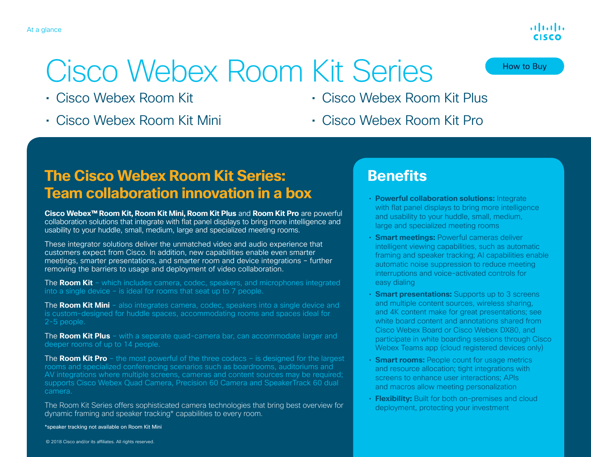# Cisco Webex Room Kit Series

- Cisco Webex Room Kit
- Cisco Webex Room Kit Mini
- Cisco Webex Room Kit Plus
- Cisco Webex Room Kit Pro

## **The Cisco Webex Room Kit Series: Team collaboration innovation in a box**

**Cisco Webex™ Room Kit, Room Kit Mini, Room Kit Plus** and **Room Kit Pro** are powerful collaboration solutions that integrate with flat panel displays to bring more intelligence and usability to your huddle, small, medium, large and specialized meeting rooms.

These integrator solutions deliver the unmatched video and audio experience that customers expect from Cisco. In addition, new capabilities enable even smarter meetings, smarter presentations, and smarter room and device integrations – further removing the barriers to usage and deployment of video collaboration.

The **Room Kit** – which includes camera, codec, speakers, and microphones integrated into a single device – is ideal for rooms that seat up to 7 people.

The **Room Kit Mini** – also integrates camera, codec, speakers into a single device and is custom-designed for huddle spaces, accommodating rooms and spaces ideal for 2-5 people.

The **Room Kit Plus** – with a separate quad-camera bar, can accommodate larger and deeper rooms of up to 14 people.

The **Room Kit Pro** – the most powerful of the three codecs – is designed for the largest rooms and specialized conferencing scenarios such as boardrooms, auditoriums and AV integrations where multiple screens, cameras and content sources may be required; supports Cisco Webex Quad Camera, Precision 60 Camera and SpeakerTrack 60 dual camera.

The Room Kit Series offers sophisticated camera technologies that bring best overview for dynamic framing and speaker tracking\* capabilities to every room.

\*speaker tracking not available on Room Kit Mini

How to Buy

## **Benefits**

- **Powerful collaboration solutions:** Integrate with flat panel displays to bring more intelligence and usability to your huddle, small, medium, large and specialized meeting rooms
- **Smart meetings:** Powerful cameras deliver intelligent viewing capabilities, such as automatic framing and speaker tracking; AI capabilities enable automatic noise suppression to reduce meeting interruptions and voice-activated controls for easy dialing
- **Smart presentations:** Supports up to 3 screens and multiple content sources, wireless sharing, and 4K content make for great presentations; see white board content and annotations shared from Cisco Webex Board or Cisco Webex DX80, and participate in white boarding sessions through Cisco Webex Teams app (cloud registered devices only)
- **Smart rooms:** People count for usage metrics and resource allocation; tight integrations with screens to enhance user interactions; APIs and macros allow meeting personalization
- **Flexibility:** Built for both on-premises and cloud deployment, protecting your investment

والتوالي